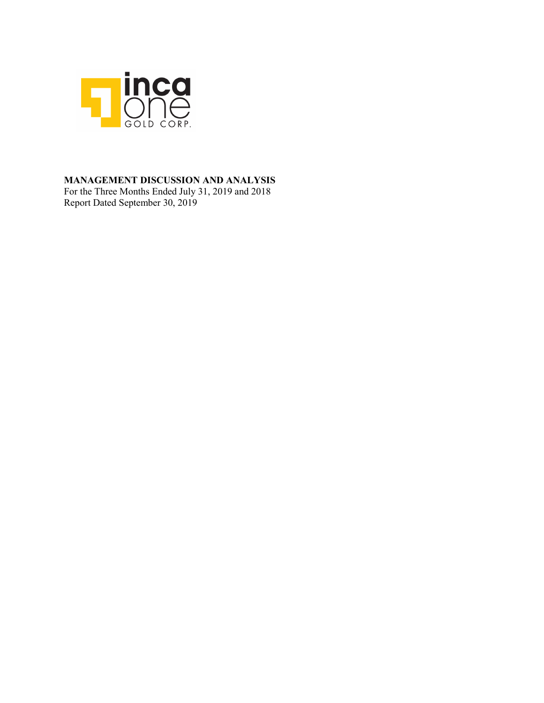

### **MANAGEMENT DISCUSSION AND ANALYSIS**

For the Three Months Ended July 31, 2019 and 2018 Report Dated September 30, 2019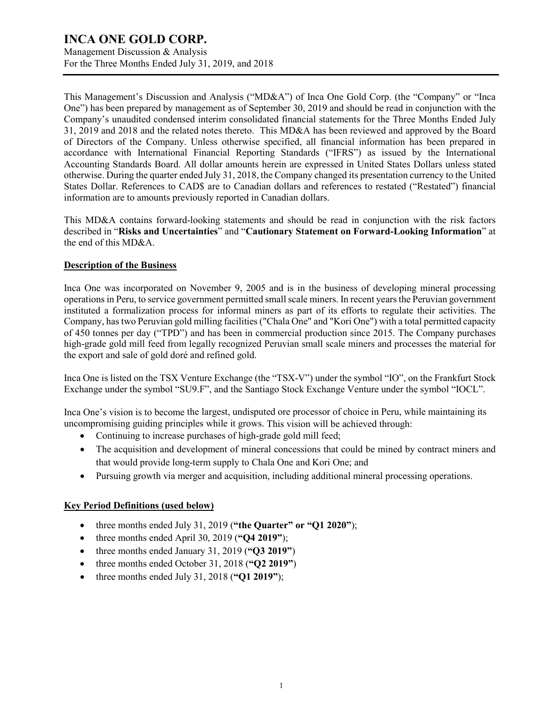Management Discussion & Analysis For the Three Months Ended July 31, 2019, and 2018

This Management's Discussion and Analysis ("MD&A") of Inca One Gold Corp. (the "Company" or "Inca One") has been prepared by management as of September 30, 2019 and should be read in conjunction with the Company's unaudited condensed interim consolidated financial statements for the Three Months Ended July 31, 2019 and 2018 and the related notes thereto. This MD&A has been reviewed and approved by the Board of Directors of the Company. Unless otherwise specified, all financial information has been prepared in accordance with International Financial Reporting Standards ("IFRS") as issued by the International Accounting Standards Board. All dollar amounts herein are expressed in United States Dollars unless stated otherwise. During the quarter ended July 31, 2018, the Company changed its presentation currency to the United States Dollar. References to CAD\$ are to Canadian dollars and references to restated ("Restated") financial information are to amounts previously reported in Canadian dollars.

This MD&A contains forward-looking statements and should be read in conjunction with the risk factors described in "**Risks and Uncertainties**" and "**Cautionary Statement on Forward-Looking Information**" at the end of this MD&A.

### **Description of the Business**

Inca One was incorporated on November 9, 2005 and is in the business of developing mineral processing operations in Peru, to service government permitted small scale miners. In recent years the Peruvian government instituted a formalization process for informal miners as part of its efforts to regulate their activities. The Company, has two Peruvian gold milling facilities ("Chala One" and "Kori One") with a total permitted capacity of 450 tonnes per day ("TPD") and has been in commercial production since 2015. The Company purchases high-grade gold mill feed from legally recognized Peruvian small scale miners and processes the material for the export and sale of gold doré and refined gold.

Inca One is listed on the TSX Venture Exchange (the "TSX-V") under the symbol "IO", on the Frankfurt Stock Exchange under the symbol "SU9.F", and the Santiago Stock Exchange Venture under the symbol "IOCL".

Inca One's vision is to become the largest, undisputed ore processor of choice in Peru, while maintaining its uncompromising guiding principles while it grows. This vision will be achieved through:

- Continuing to increase purchases of high-grade gold mill feed;
- The acquisition and development of mineral concessions that could be mined by contract miners and that would provide long-term supply to Chala One and Kori One; and
- Pursuing growth via merger and acquisition, including additional mineral processing operations.

### **Key Period Definitions (used below)**

- three months ended July 31, 2019 (**"the Quarter" or "Q1 2020"**);
- three months ended April 30, 2019 (**"Q4 2019"**);
- three months ended January 31, 2019 (**"Q3 2019"**)
- three months ended October 31, 2018 (**"Q2 2019"**)
- three months ended July 31, 2018 (**"Q1 2019"**);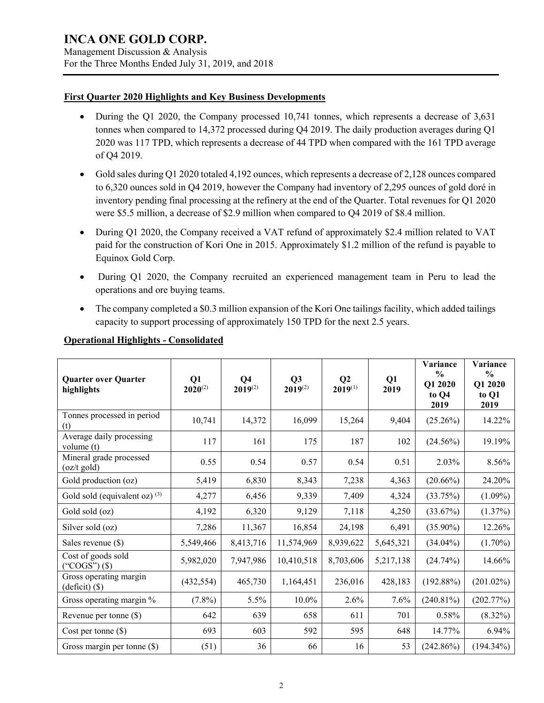Management Discussion & Analysis For the Three Months Ended July 31, 2019, and 2018

### **First Quarter 2020 Highlights and Key Business Developments**

- During the Q1 2020, the Company processed 10,741 tonnes, which represents a decrease of 3,631 tonnes when compared to 14,372 processed during Q4 2019. The daily production averages during Q1 2020 was 117 TPD, which represents a decrease of 44 TPD when compared with the 161 TPD average of Q4 2019.
- Gold sales during Q1 2020 totaled 4,192 ounces, which represents a decrease of 2,128 ounces compared to 6,320 ounces sold in Q4 2019, however the Company had inventory of 2,295 ounces of gold doré in inventory pending final processing at the refinery at the end of the Quarter. Total revenues for Q1 2020 were \$5.5 million, a decrease of \$2.9 million when compared to Q4 2019 of \$8.4 million.
- During Q1 2020, the Company received a VAT refund of approximately \$2.4 million related to VAT paid for the construction of Kori One in 2015. Approximately \$1.2 million of the refund is payable to Equinox Gold Corp.
- During Q1 2020, the Company recruited an experienced management team in Peru to lead the operations and ore buying teams.
- The company completed a \$0.3 million expansion of the Kori One tailings facility, which added tailings capacity to support processing of approximately 150 TPD for the next 2.5 years.

| <b>Quarter over Quarter</b><br>highlights                | Q1<br>$2020^{(2)}$ | Q <sub>4</sub><br>$2019^{(2)}$ | Q3<br>$2019^{(2)}$ | Q <sub>2</sub><br>$2019^{(1)}$ | Q1<br>2019 | Variance<br>$\frac{0}{0}$<br>Q1 2020<br>to Q4<br>2019 | Variance<br>$\frac{0}{0}$<br>Q1 2020<br>to Q1<br>2019 |
|----------------------------------------------------------|--------------------|--------------------------------|--------------------|--------------------------------|------------|-------------------------------------------------------|-------------------------------------------------------|
| Tonnes processed in period<br>(t)                        | 10,741             | 14,372                         | 16,099             | 15,264                         | 9,404      | $(25.26\%)$                                           | 14.22%                                                |
| Average daily processing<br>volume (t)                   | 117                | 161                            | 175                | 187                            | 102        | $(24.56\%)$                                           | 19.19%                                                |
| Mineral grade processed<br>$(oz/t \text{ gold})$         | 0.55               | 0.54                           | 0.57               | 0.54                           | 0.51       | 2.03%                                                 | 8.56%                                                 |
| Gold production (oz)                                     | 5,419              | 6,830                          | 8,343              | 7,238                          | 4,363      | $(20.66\%)$                                           | 24.20%                                                |
| Gold sold (equivalent oz) $(3)$                          | 4,277              | 6,456                          | 9,339              | 7,409                          | 4,324      | (33.75%)                                              | $(1.09\%)$                                            |
| Gold sold (oz)                                           | 4,192              | 6,320                          | 9,129              | 7,118                          | 4,250      | (33.67%)                                              | $(1.37\%)$                                            |
| Silver sold (oz)                                         | 7,286              | 11,367                         | 16,854             | 24,198                         | 6,491      | $(35.90\%)$                                           | 12.26%                                                |
| Sales revenue $(\$)$                                     | 5,549,466          | 8,413,716                      | 11,574,969         | 8,939,622                      | 5,645,321  | $(34.04\%)$                                           | $(1.70\%)$                                            |
| Cost of goods sold<br>"COGS") $(\$)$                     | 5,982,020          | 7,947,986                      | 10,410,518         | 8,703,606                      | 5,217,138  | $(24.74\%)$                                           | 14.66%                                                |
| Gross operating margin<br>$\text{(deficit)}\text{ }(\$)$ | (432, 554)         | 465,730                        | 1,164,451          | 236,016                        | 428,183    | (192.88%)                                             | $(201.02\%)$                                          |
| Gross operating margin %                                 | $(7.8\%)$          | 5.5%                           | 10.0%              | 2.6%                           | 7.6%       | $(240.81\%)$                                          | (202.77%)                                             |
| Revenue per tonne $(\$)$                                 | 642                | 639                            | 658                | 611                            | 701        | 0.58%                                                 | $(8.32\%)$                                            |
| Cost per tonne $(\$)$                                    | 693                | 603                            | 592                | 595                            | 648        | 14.77%                                                | $6.94\%$                                              |
| Gross margin per tonne $(\$)$                            | (51)               | 36                             | 66                 | 16                             | 53         | (242.86%)                                             | $(194.34\%)$                                          |

### **Operational Highlights - Consolidated**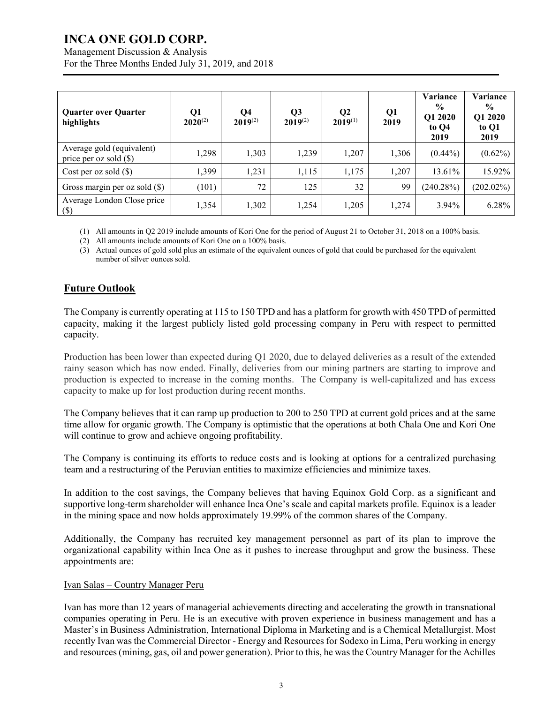Management Discussion & Analysis

| For the Three Months Ended July 31, 2019, and 2018 |  |  |
|----------------------------------------------------|--|--|
|                                                    |  |  |
|                                                    |  |  |
|                                                    |  |  |

| <b>Quarter over Quarter</b><br>highlights             | Q1<br>$2020^{(2)}$ | Q4<br>$2019^{(2)}$ | Q <sub>3</sub><br>$2019^{(2)}$ | $\bf Q2$<br>$2019^{(1)}$ | Q1<br>2019 | Variance<br>$\frac{6}{9}$<br>Q1 2020<br>to $Q4$<br>2019 | Variance<br>$\frac{0}{0}$<br>Q1 2020<br>to Q1<br>2019 |
|-------------------------------------------------------|--------------------|--------------------|--------------------------------|--------------------------|------------|---------------------------------------------------------|-------------------------------------------------------|
| Average gold (equivalent)<br>price per oz sold $(\$)$ | 1,298              | 1,303              | 1,239                          | 1,207                    | 1,306      | $(0.44\%)$                                              | $(0.62\%)$                                            |
| Cost per oz sold $(\$)$                               | 1,399              | 1,231              | 1,115                          | 1,175                    | 1,207      | 13.61%                                                  | 15.92%                                                |
| Gross margin per oz sold $(\$)$                       | (101)              | 72                 | 125                            | 32                       | 99         | (240.28%)                                               | $(202.02\%)$                                          |
| Average London Close price<br>$(\$\)$                 | 1,354              | 1,302              | 1,254                          | 1,205                    | 1,274      | $3.94\%$                                                | 6.28%                                                 |

(1) All amounts in Q2 2019 include amounts of Kori One for the period of August 21 to October 31, 2018 on a 100% basis.

(2) All amounts include amounts of Kori One on a 100% basis.

(3) Actual ounces of gold sold plus an estimate of the equivalent ounces of gold that could be purchased for the equivalent number of silver ounces sold.

## **Future Outlook**

The Company is currently operating at 115 to 150 TPD and has a platform for growth with 450 TPD of permitted capacity, making it the largest publicly listed gold processing company in Peru with respect to permitted capacity.

Production has been lower than expected during Q1 2020, due to delayed deliveries as a result of the extended rainy season which has now ended. Finally, deliveries from our mining partners are starting to improve and production is expected to increase in the coming months. The Company is well-capitalized and has excess capacity to make up for lost production during recent months.

The Company believes that it can ramp up production to 200 to 250 TPD at current gold prices and at the same time allow for organic growth. The Company is optimistic that the operations at both Chala One and Kori One will continue to grow and achieve ongoing profitability.

The Company is continuing its efforts to reduce costs and is looking at options for a centralized purchasing team and a restructuring of the Peruvian entities to maximize efficiencies and minimize taxes.

In addition to the cost savings, the Company believes that having Equinox Gold Corp. as a significant and supportive long-term shareholder will enhance Inca One's scale and capital markets profile. Equinox is a leader in the mining space and now holds approximately 19.99% of the common shares of the Company.

Additionally, the Company has recruited key management personnel as part of its plan to improve the organizational capability within Inca One as it pushes to increase throughput and grow the business. These appointments are:

### Ivan Salas – Country Manager Peru

Ivan has more than 12 years of managerial achievements directing and accelerating the growth in transnational companies operating in Peru. He is an executive with proven experience in business management and has a Master's in Business Administration, International Diploma in Marketing and is a Chemical Metallurgist. Most recently Ivan was the Commercial Director - Energy and Resources for Sodexo in Lima, Peru working in energy and resources (mining, gas, oil and power generation). Prior to this, he was the Country Manager for the Achilles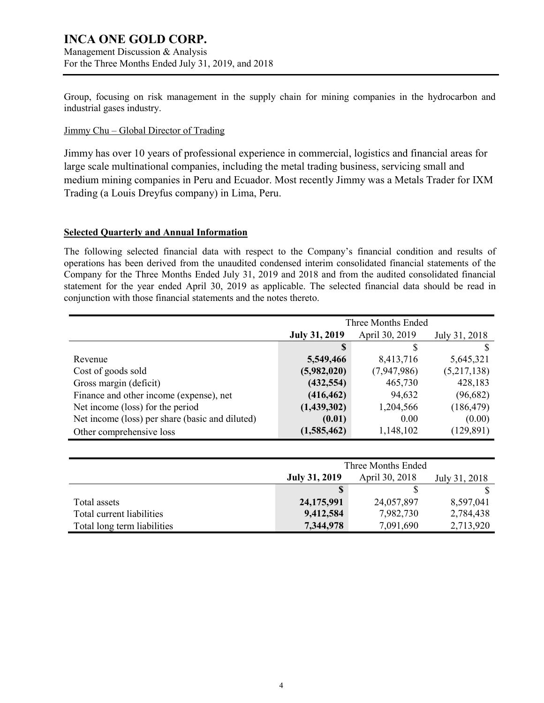Management Discussion & Analysis For the Three Months Ended July 31, 2019, and 2018

Group, focusing on risk management in the supply chain for mining companies in the hydrocarbon and industrial gases industry.

### Jimmy Chu – Global Director of Trading

Jimmy has over 10 years of professional experience in commercial, logistics and financial areas for large scale multinational companies, including the metal trading business, servicing small and medium mining companies in Peru and Ecuador. Most recently Jimmy was a Metals Trader for IXM Trading (a Louis Dreyfus company) in Lima, Peru.

### **Selected Quarterly and Annual Information**

The following selected financial data with respect to the Company's financial condition and results of operations has been derived from the unaudited condensed interim consolidated financial statements of the Company for the Three Months Ended July 31, 2019 and 2018 and from the audited consolidated financial statement for the year ended April 30, 2019 as applicable. The selected financial data should be read in conjunction with those financial statements and the notes thereto.

|                                                 | Three Months Ended   |                |               |
|-------------------------------------------------|----------------------|----------------|---------------|
|                                                 | <b>July 31, 2019</b> | April 30, 2019 | July 31, 2018 |
|                                                 | S                    |                |               |
| Revenue                                         | 5,549,466            | 8,413,716      | 5,645,321     |
| Cost of goods sold                              | (5,982,020)          | (7,947,986)    | (5,217,138)   |
| Gross margin (deficit)                          | (432, 554)           | 465,730        | 428,183       |
| Finance and other income (expense), net         | (416, 462)           | 94,632         | (96,682)      |
| Net income (loss) for the period                | (1,439,302)          | 1,204,566      | (186, 479)    |
| Net income (loss) per share (basic and diluted) | (0.01)               | 0.00           | (0.00)        |
| Other comprehensive loss                        | (1,585,462)          | 1,148,102      | (129, 891)    |

|                             | Three Months Ended   |                |               |
|-----------------------------|----------------------|----------------|---------------|
|                             | <b>July 31, 2019</b> | April 30, 2018 | July 31, 2018 |
|                             |                      |                |               |
| Total assets                | 24,175,991           | 24,057,897     | 8,597,041     |
| Total current liabilities   | 9,412,584            | 7,982,730      | 2,784,438     |
| Total long term liabilities | 7,344,978            | 7,091,690      | 2,713,920     |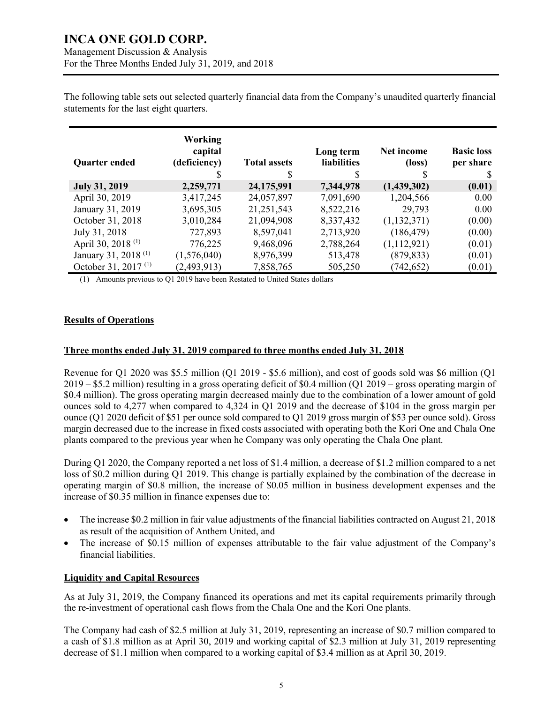The following table sets out selected quarterly financial data from the Company's unaudited quarterly financial statements for the last eight quarters.

| Quarter ended                   | Working<br>capital<br>(deficiency) | <b>Total assets</b> | Long term<br><b>liabilities</b> | Net income<br>(loss) | <b>Basic loss</b><br>per share |
|---------------------------------|------------------------------------|---------------------|---------------------------------|----------------------|--------------------------------|
|                                 |                                    | S                   | \$                              |                      |                                |
| <b>July 31, 2019</b>            | 2,259,771                          | 24,175,991          | 7,344,978                       | (1,439,302)          | (0.01)                         |
| April 30, 2019                  | 3,417,245                          | 24,057,897          | 7,091,690                       | 1,204,566            | 0.00                           |
| January 31, 2019                | 3,695,305                          | 21,251,543          | 8,522,216                       | 29,793               | 0.00                           |
| October 31, 2018                | 3,010,284                          | 21,094,908          | 8,337,432                       | (1,132,371)          | (0.00)                         |
| July 31, 2018                   | 727,893                            | 8,597,041           | 2,713,920                       | (186, 479)           | (0.00)                         |
| April 30, 2018 <sup>(1)</sup>   | 776,225                            | 9,468,096           | 2,788,264                       | (1,112,921)          | (0.01)                         |
| January 31, 2018 <sup>(1)</sup> | (1,576,040)                        | 8,976,399           | 513,478                         | (879, 833)           | (0.01)                         |
| October 31, 2017 <sup>(1)</sup> | (2,493,913)                        | 7,858,765           | 505,250                         | (742, 652)           | (0.01)                         |

(1) Amounts previous to Q1 2019 have been Restated to United States dollars

### **Results of Operations**

### **Three months ended July 31, 2019 compared to three months ended July 31, 2018**

Revenue for Q1 2020 was \$5.5 million (Q1 2019 - \$5.6 million), and cost of goods sold was \$6 million (Q1 2019 – \$5.2 million) resulting in a gross operating deficit of \$0.4 million (Q1 2019 – gross operating margin of \$0.4 million). The gross operating margin decreased mainly due to the combination of a lower amount of gold ounces sold to 4,277 when compared to 4,324 in Q1 2019 and the decrease of \$104 in the gross margin per ounce (Q1 2020 deficit of \$51 per ounce sold compared to Q1 2019 gross margin of \$53 per ounce sold). Gross margin decreased due to the increase in fixed costs associated with operating both the Kori One and Chala One plants compared to the previous year when he Company was only operating the Chala One plant.

During Q1 2020, the Company reported a net loss of \$1.4 million, a decrease of \$1.2 million compared to a net loss of \$0.2 million during Q1 2019. This change is partially explained by the combination of the decrease in operating margin of \$0.8 million, the increase of \$0.05 million in business development expenses and the increase of \$0.35 million in finance expenses due to:

- The increase \$0.2 million in fair value adjustments of the financial liabilities contracted on August 21, 2018 as result of the acquisition of Anthem United, and
- The increase of \$0.15 million of expenses attributable to the fair value adjustment of the Company's financial liabilities.

### **Liquidity and Capital Resources**

As at July 31, 2019, the Company financed its operations and met its capital requirements primarily through the re-investment of operational cash flows from the Chala One and the Kori One plants.

The Company had cash of \$2.5 million at July 31, 2019, representing an increase of \$0.7 million compared to a cash of \$1.8 million as at April 30, 2019 and working capital of \$2.3 million at July 31, 2019 representing decrease of \$1.1 million when compared to a working capital of \$3.4 million as at April 30, 2019.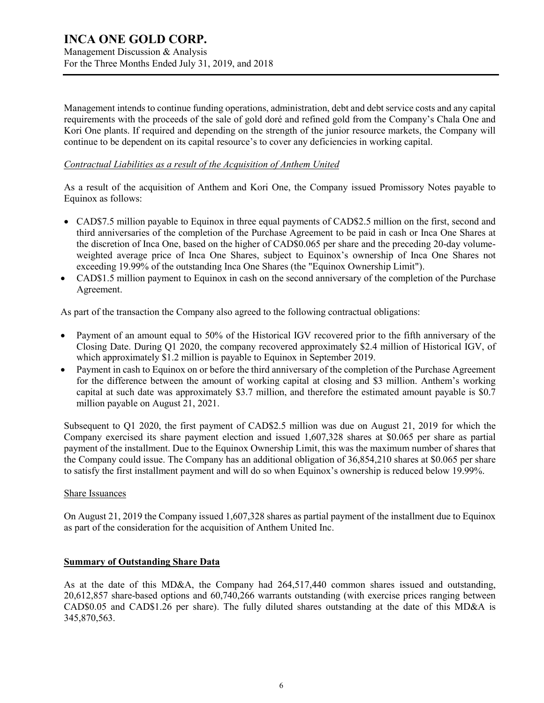Management Discussion & Analysis For the Three Months Ended July 31, 2019, and 2018

Management intends to continue funding operations, administration, debt and debt service costs and any capital requirements with the proceeds of the sale of gold doré and refined gold from the Company's Chala One and Kori One plants. If required and depending on the strength of the junior resource markets, the Company will continue to be dependent on its capital resource's to cover any deficiencies in working capital.

### *Contractual Liabilities as a result of the Acquisition of Anthem United*

As a result of the acquisition of Anthem and Kori One, the Company issued Promissory Notes payable to Equinox as follows:

- CAD\$7.5 million payable to Equinox in three equal payments of CAD\$2.5 million on the first, second and third anniversaries of the completion of the Purchase Agreement to be paid in cash or Inca One Shares at the discretion of Inca One, based on the higher of CAD\$0.065 per share and the preceding 20-day volumeweighted average price of Inca One Shares, subject to Equinox's ownership of Inca One Shares not exceeding 19.99% of the outstanding Inca One Shares (the "Equinox Ownership Limit").
- CAD\$1.5 million payment to Equinox in cash on the second anniversary of the completion of the Purchase Agreement.

As part of the transaction the Company also agreed to the following contractual obligations:

- Payment of an amount equal to 50% of the Historical IGV recovered prior to the fifth anniversary of the Closing Date. During Q1 2020, the company recovered approximately \$2.4 million of Historical IGV, of which approximately \$1.2 million is payable to Equinox in September 2019.
- Payment in cash to Equinox on or before the third anniversary of the completion of the Purchase Agreement for the difference between the amount of working capital at closing and \$3 million. Anthem's working capital at such date was approximately \$3.7 million, and therefore the estimated amount payable is \$0.7 million payable on August 21, 2021.

Subsequent to Q1 2020, the first payment of CAD\$2.5 million was due on August 21, 2019 for which the Company exercised its share payment election and issued 1,607,328 shares at \$0.065 per share as partial payment of the installment. Due to the Equinox Ownership Limit, this was the maximum number of shares that the Company could issue. The Company has an additional obligation of 36,854,210 shares at \$0.065 per share to satisfy the first installment payment and will do so when Equinox's ownership is reduced below 19.99%.

### Share Issuances

On August 21, 2019 the Company issued 1,607,328 shares as partial payment of the installment due to Equinox as part of the consideration for the acquisition of Anthem United Inc.

### **Summary of Outstanding Share Data**

As at the date of this MD&A, the Company had 264,517,440 common shares issued and outstanding, 20,612,857 share-based options and 60,740,266 warrants outstanding (with exercise prices ranging between CAD\$0.05 and CAD\$1.26 per share). The fully diluted shares outstanding at the date of this MD&A is 345,870,563.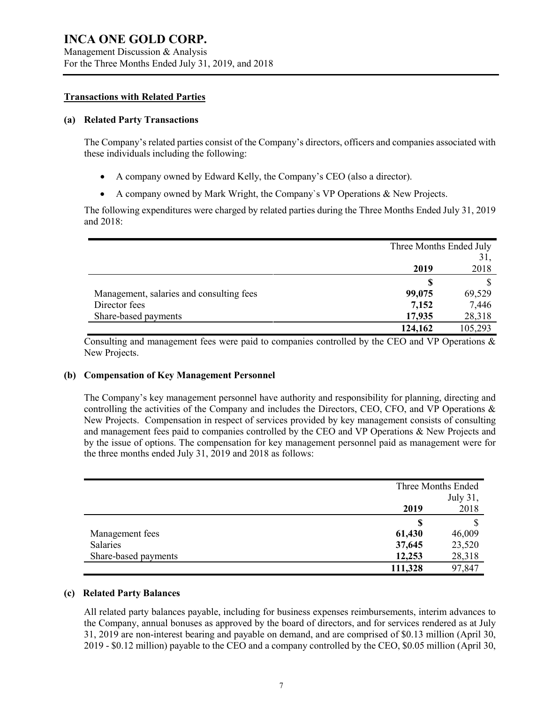### **Transactions with Related Parties**

### **(a) Related Party Transactions**

The Company's related parties consist of the Company's directors, officers and companies associated with these individuals including the following:

- A company owned by Edward Kelly, the Company's CEO (also a director).
- A company owned by Mark Wright, the Company`s VP Operations & New Projects.

The following expenditures were charged by related parties during the Three Months Ended July 31, 2019 and 2018:

|                                          | Three Months Ended July |         |
|------------------------------------------|-------------------------|---------|
|                                          |                         | 31,     |
|                                          | 2019                    | 2018    |
|                                          | S                       |         |
| Management, salaries and consulting fees | 99,075                  | 69,529  |
| Director fees                            | 7,152                   | 7,446   |
| Share-based payments                     | 17,935                  | 28,318  |
|                                          | 124,162                 | 105,293 |

Consulting and management fees were paid to companies controlled by the CEO and VP Operations & New Projects.

### **(b) Compensation of Key Management Personnel**

The Company's key management personnel have authority and responsibility for planning, directing and controlling the activities of the Company and includes the Directors, CEO, CFO, and VP Operations & New Projects. Compensation in respect of services provided by key management consists of consulting and management fees paid to companies controlled by the CEO and VP Operations & New Projects and by the issue of options. The compensation for key management personnel paid as management were for the three months ended July 31, 2019 and 2018 as follows:

|                      |         | Three Months Ended |
|----------------------|---------|--------------------|
|                      |         | July 31,           |
|                      | 2019    | 2018               |
|                      | S       |                    |
| Management fees      | 61,430  | 46,009             |
| Salaries             | 37,645  | 23,520             |
| Share-based payments | 12,253  | 28,318             |
|                      | 111,328 | 97,847             |

### **(c) Related Party Balances**

All related party balances payable, including for business expenses reimbursements, interim advances to the Company, annual bonuses as approved by the board of directors, and for services rendered as at July 31, 2019 are non-interest bearing and payable on demand, and are comprised of \$0.13 million (April 30, 2019 - \$0.12 million) payable to the CEO and a company controlled by the CEO, \$0.05 million (April 30,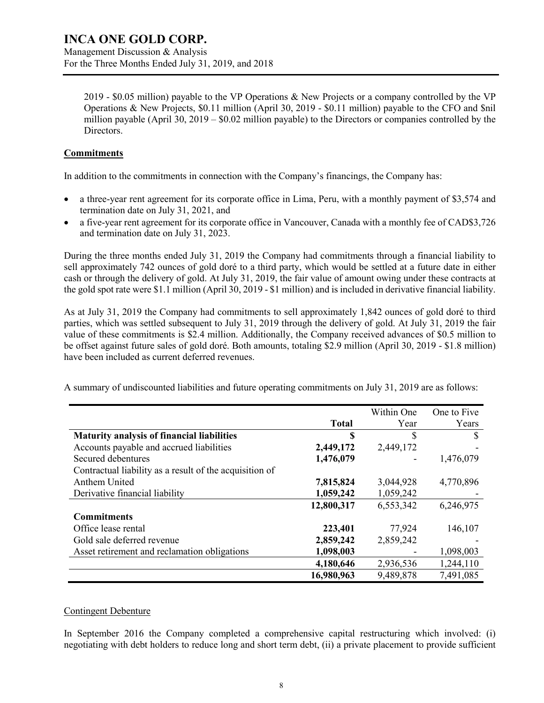Management Discussion & Analysis For the Three Months Ended July 31, 2019, and 2018

2019 - \$0.05 million) payable to the VP Operations & New Projects or a company controlled by the VP Operations & New Projects, \$0.11 million (April 30, 2019 - \$0.11 million) payable to the CFO and \$nil million payable (April 30, 2019 – \$0.02 million payable) to the Directors or companies controlled by the Directors.

### **Commitments**

In addition to the commitments in connection with the Company's financings, the Company has:

- a three-year rent agreement for its corporate office in Lima, Peru, with a monthly payment of \$3,574 and termination date on July 31, 2021, and
- a five-year rent agreement for its corporate office in Vancouver, Canada with a monthly fee of CAD\$3,726 and termination date on July 31, 2023.

During the three months ended July 31, 2019 the Company had commitments through a financial liability to sell approximately 742 ounces of gold doré to a third party, which would be settled at a future date in either cash or through the delivery of gold. At July 31, 2019, the fair value of amount owing under these contracts at the gold spot rate were \$1.1 million (April 30, 2019 - \$1 million) and is included in derivative financial liability.

As at July 31, 2019 the Company had commitments to sell approximately 1,842 ounces of gold doré to third parties, which was settled subsequent to July 31, 2019 through the delivery of gold. At July 31, 2019 the fair value of these commitments is \$2.4 million. Additionally, the Company received advances of \$0.5 million to be offset against future sales of gold doré. Both amounts, totaling \$2.9 million (April 30, 2019 - \$1.8 million) have been included as current deferred revenues.

A summary of undiscounted liabilities and future operating commitments on July 31, 2019 are as follows:

|                                                         |              | Within One | One to Five |
|---------------------------------------------------------|--------------|------------|-------------|
|                                                         | <b>Total</b> | Year       | Years       |
| <b>Maturity analysis of financial liabilities</b>       | S            | \$         | \$          |
| Accounts payable and accrued liabilities                | 2,449,172    | 2,449,172  |             |
| Secured debentures                                      | 1,476,079    |            | 1,476,079   |
| Contractual liability as a result of the acquisition of |              |            |             |
| Anthem United                                           | 7,815,824    | 3,044,928  | 4,770,896   |
| Derivative financial liability                          | 1,059,242    | 1,059,242  |             |
|                                                         | 12,800,317   | 6,553,342  | 6,246,975   |
| <b>Commitments</b>                                      |              |            |             |
| Office lease rental                                     | 223,401      | 77,924     | 146,107     |
| Gold sale deferred revenue                              | 2,859,242    | 2,859,242  |             |
| Asset retirement and reclamation obligations            | 1,098,003    |            | 1,098,003   |
|                                                         | 4,180,646    | 2,936,536  | 1,244,110   |
|                                                         | 16,980,963   | 9,489,878  | 7,491,085   |

### Contingent Debenture

In September 2016 the Company completed a comprehensive capital restructuring which involved: (i) negotiating with debt holders to reduce long and short term debt, (ii) a private placement to provide sufficient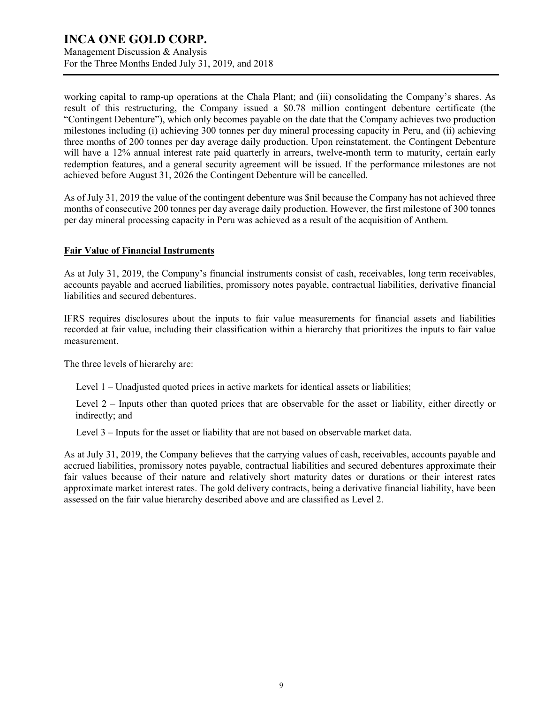Management Discussion & Analysis For the Three Months Ended July 31, 2019, and 2018

working capital to ramp-up operations at the Chala Plant; and (iii) consolidating the Company's shares. As result of this restructuring, the Company issued a \$0.78 million contingent debenture certificate (the "Contingent Debenture"), which only becomes payable on the date that the Company achieves two production milestones including (i) achieving 300 tonnes per day mineral processing capacity in Peru, and (ii) achieving three months of 200 tonnes per day average daily production. Upon reinstatement, the Contingent Debenture will have a 12% annual interest rate paid quarterly in arrears, twelve-month term to maturity, certain early redemption features, and a general security agreement will be issued. If the performance milestones are not achieved before August 31, 2026 the Contingent Debenture will be cancelled.

As of July 31, 2019 the value of the contingent debenture was \$nil because the Company has not achieved three months of consecutive 200 tonnes per day average daily production. However, the first milestone of 300 tonnes per day mineral processing capacity in Peru was achieved as a result of the acquisition of Anthem.

### **Fair Value of Financial Instruments**

As at July 31, 2019, the Company's financial instruments consist of cash, receivables, long term receivables, accounts payable and accrued liabilities, promissory notes payable, contractual liabilities, derivative financial liabilities and secured debentures.

IFRS requires disclosures about the inputs to fair value measurements for financial assets and liabilities recorded at fair value, including their classification within a hierarchy that prioritizes the inputs to fair value measurement.

The three levels of hierarchy are:

Level 1 – Unadjusted quoted prices in active markets for identical assets or liabilities;

Level 2 – Inputs other than quoted prices that are observable for the asset or liability, either directly or indirectly; and

Level 3 – Inputs for the asset or liability that are not based on observable market data.

As at July 31, 2019, the Company believes that the carrying values of cash, receivables, accounts payable and accrued liabilities, promissory notes payable, contractual liabilities and secured debentures approximate their fair values because of their nature and relatively short maturity dates or durations or their interest rates approximate market interest rates. The gold delivery contracts, being a derivative financial liability, have been assessed on the fair value hierarchy described above and are classified as Level 2.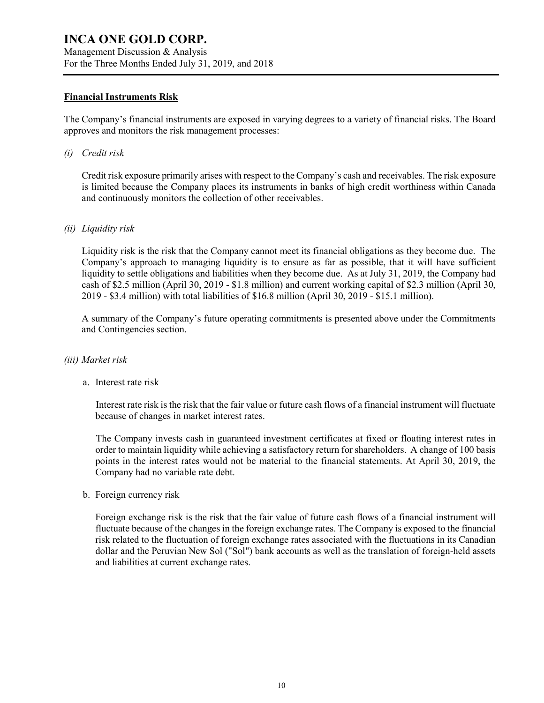Management Discussion & Analysis For the Three Months Ended July 31, 2019, and 2018

### **Financial Instruments Risk**

The Company's financial instruments are exposed in varying degrees to a variety of financial risks. The Board approves and monitors the risk management processes:

*(i) Credit risk*

Credit risk exposure primarily arises with respect to the Company's cash and receivables. The risk exposure is limited because the Company places its instruments in banks of high credit worthiness within Canada and continuously monitors the collection of other receivables.

### *(ii) Liquidity risk*

Liquidity risk is the risk that the Company cannot meet its financial obligations as they become due. The Company's approach to managing liquidity is to ensure as far as possible, that it will have sufficient liquidity to settle obligations and liabilities when they become due. As at July 31, 2019, the Company had cash of \$2.5 million (April 30, 2019 - \$1.8 million) and current working capital of \$2.3 million (April 30, 2019 - \$3.4 million) with total liabilities of \$16.8 million (April 30, 2019 - \$15.1 million).

A summary of the Company's future operating commitments is presented above under the Commitments and Contingencies section.

### *(iii) Market risk*

a. Interest rate risk

Interest rate risk is the risk that the fair value or future cash flows of a financial instrument will fluctuate because of changes in market interest rates.

The Company invests cash in guaranteed investment certificates at fixed or floating interest rates in order to maintain liquidity while achieving a satisfactory return for shareholders. A change of 100 basis points in the interest rates would not be material to the financial statements. At April 30, 2019, the Company had no variable rate debt.

b. Foreign currency risk

Foreign exchange risk is the risk that the fair value of future cash flows of a financial instrument will fluctuate because of the changes in the foreign exchange rates. The Company is exposed to the financial risk related to the fluctuation of foreign exchange rates associated with the fluctuations in its Canadian dollar and the Peruvian New Sol ("Sol") bank accounts as well as the translation of foreign-held assets and liabilities at current exchange rates.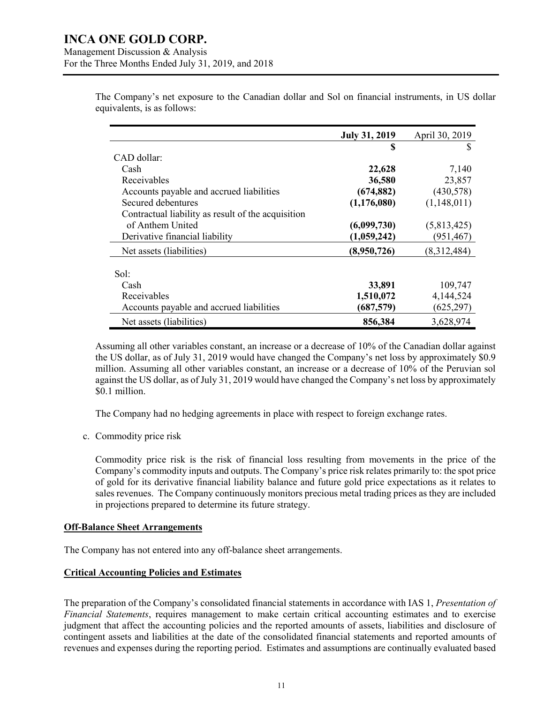Management Discussion & Analysis For the Three Months Ended July 31, 2019, and 2018

|                                                    | <b>July 31, 2019</b> | April 30, 2019 |
|----------------------------------------------------|----------------------|----------------|
|                                                    | S                    | S              |
| CAD dollar:                                        |                      |                |
| Cash                                               | 22,628               | 7,140          |
| Receivables                                        | 36,580               | 23,857         |
| Accounts payable and accrued liabilities           | (674, 882)           | (430,578)      |
| Secured debentures                                 | (1, 176, 080)        | (1,148,011)    |
| Contractual liability as result of the acquisition |                      |                |
| of Anthem United                                   | (6,099,730)          | (5,813,425)    |
| Derivative financial liability                     | (1,059,242)          | (951, 467)     |
| Net assets (liabilities)                           | (8,950,726)          | (8,312,484)    |
| Sol:                                               |                      |                |
| Cash                                               | 33,891               | 109,747        |
| Receivables                                        | 1,510,072            | 4,144,524      |
| Accounts payable and accrued liabilities           | (687,579)            | (625, 297)     |
| Net assets (liabilities)                           | 856,384              | 3,628,974      |

The Company's net exposure to the Canadian dollar and Sol on financial instruments, in US dollar equivalents, is as follows:

Assuming all other variables constant, an increase or a decrease of 10% of the Canadian dollar against the US dollar, as of July 31, 2019 would have changed the Company's net loss by approximately \$0.9 million. Assuming all other variables constant, an increase or a decrease of 10% of the Peruvian sol against the US dollar, as of July 31, 2019 would have changed the Company's net loss by approximately \$0.1 million.

The Company had no hedging agreements in place with respect to foreign exchange rates.

c. Commodity price risk

Commodity price risk is the risk of financial loss resulting from movements in the price of the Company's commodity inputs and outputs. The Company's price risk relates primarily to: the spot price of gold for its derivative financial liability balance and future gold price expectations as it relates to sales revenues. The Company continuously monitors precious metal trading prices as they are included in projections prepared to determine its future strategy.

### **Off-Balance Sheet Arrangements**

The Company has not entered into any off-balance sheet arrangements.

#### **Critical Accounting Policies and Estimates**

The preparation of the Company's consolidated financial statements in accordance with IAS 1, *Presentation of Financial Statements*, requires management to make certain critical accounting estimates and to exercise judgment that affect the accounting policies and the reported amounts of assets, liabilities and disclosure of contingent assets and liabilities at the date of the consolidated financial statements and reported amounts of revenues and expenses during the reporting period. Estimates and assumptions are continually evaluated based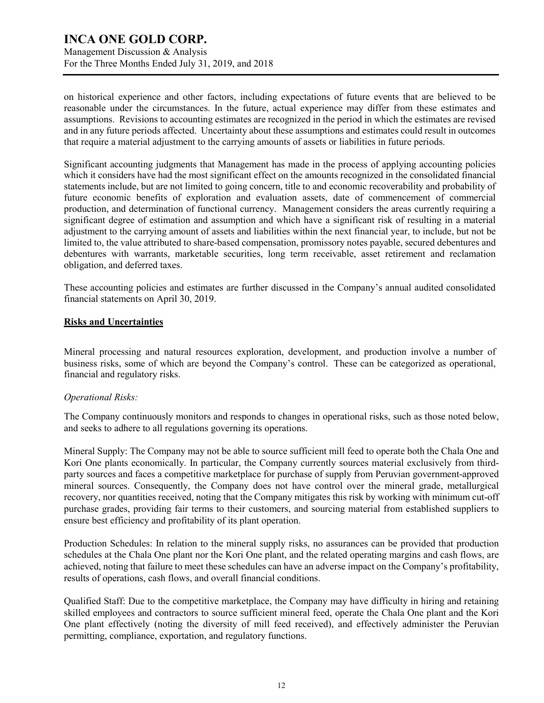Management Discussion & Analysis For the Three Months Ended July 31, 2019, and 2018

on historical experience and other factors, including expectations of future events that are believed to be reasonable under the circumstances. In the future, actual experience may differ from these estimates and assumptions. Revisions to accounting estimates are recognized in the period in which the estimates are revised and in any future periods affected. Uncertainty about these assumptions and estimates could result in outcomes that require a material adjustment to the carrying amounts of assets or liabilities in future periods.

Significant accounting judgments that Management has made in the process of applying accounting policies which it considers have had the most significant effect on the amounts recognized in the consolidated financial statements include, but are not limited to going concern, title to and economic recoverability and probability of future economic benefits of exploration and evaluation assets, date of commencement of commercial production, and determination of functional currency. Management considers the areas currently requiring a significant degree of estimation and assumption and which have a significant risk of resulting in a material adjustment to the carrying amount of assets and liabilities within the next financial year, to include, but not be limited to, the value attributed to share-based compensation, promissory notes payable, secured debentures and debentures with warrants, marketable securities, long term receivable, asset retirement and reclamation obligation, and deferred taxes.

These accounting policies and estimates are further discussed in the Company's annual audited consolidated financial statements on April 30, 2019.

### **Risks and Uncertainties**

Mineral processing and natural resources exploration, development, and production involve a number of business risks, some of which are beyond the Company's control. These can be categorized as operational, financial and regulatory risks.

### *Operational Risks:*

The Company continuously monitors and responds to changes in operational risks, such as those noted below, and seeks to adhere to all regulations governing its operations.

Mineral Supply: The Company may not be able to source sufficient mill feed to operate both the Chala One and Kori One plants economically. In particular, the Company currently sources material exclusively from thirdparty sources and faces a competitive marketplace for purchase of supply from Peruvian government-approved mineral sources. Consequently, the Company does not have control over the mineral grade, metallurgical recovery, nor quantities received, noting that the Company mitigates this risk by working with minimum cut-off purchase grades, providing fair terms to their customers, and sourcing material from established suppliers to ensure best efficiency and profitability of its plant operation.

Production Schedules: In relation to the mineral supply risks, no assurances can be provided that production schedules at the Chala One plant nor the Kori One plant, and the related operating margins and cash flows, are achieved, noting that failure to meet these schedules can have an adverse impact on the Company's profitability, results of operations, cash flows, and overall financial conditions.

Qualified Staff: Due to the competitive marketplace, the Company may have difficulty in hiring and retaining skilled employees and contractors to source sufficient mineral feed, operate the Chala One plant and the Kori One plant effectively (noting the diversity of mill feed received), and effectively administer the Peruvian permitting, compliance, exportation, and regulatory functions.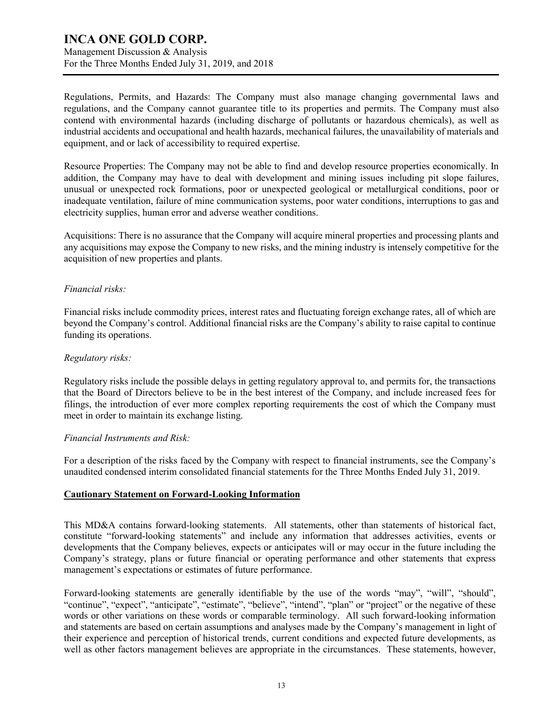Management Discussion & Analysis For the Three Months Ended July 31, 2019, and 2018

Regulations, Permits, and Hazards: The Company must also manage changing governmental laws and regulations, and the Company cannot guarantee title to its properties and permits. The Company must also contend with environmental hazards (including discharge of pollutants or hazardous chemicals), as well as industrial accidents and occupational and health hazards, mechanical failures, the unavailability of materials and equipment, and or lack of accessibility to required expertise.

Resource Properties: The Company may not be able to find and develop resource properties economically. In addition, the Company may have to deal with development and mining issues including pit slope failures, unusual or unexpected rock formations, poor or unexpected geological or metallurgical conditions, poor or inadequate ventilation, failure of mine communication systems, poor water conditions, interruptions to gas and electricity supplies, human error and adverse weather conditions.

Acquisitions: There is no assurance that the Company will acquire mineral properties and processing plants and any acquisitions may expose the Company to new risks, and the mining industry is intensely competitive for the acquisition of new properties and plants.

### *Financial risks:*

Financial risks include commodity prices, interest rates and fluctuating foreign exchange rates, all of which are beyond the Company's control. Additional financial risks are the Company's ability to raise capital to continue funding its operations.

### *Regulatory risks:*

Regulatory risks include the possible delays in getting regulatory approval to, and permits for, the transactions that the Board of Directors believe to be in the best interest of the Company, and include increased fees for filings, the introduction of ever more complex reporting requirements the cost of which the Company must meet in order to maintain its exchange listing.

### *Financial Instruments and Risk:*

For a description of the risks faced by the Company with respect to financial instruments, see the Company's unaudited condensed interim consolidated financial statements for the Three Months Ended July 31, 2019.

### **Cautionary Statement on Forward-Looking Information**

This MD&A contains forward-looking statements. All statements, other than statements of historical fact, constitute "forward-looking statements" and include any information that addresses activities, events or developments that the Company believes, expects or anticipates will or may occur in the future including the Company's strategy, plans or future financial or operating performance and other statements that express management's expectations or estimates of future performance.

Forward-looking statements are generally identifiable by the use of the words "may", "will", "should", "continue", "expect", "anticipate", "estimate", "believe", "intend", "plan" or "project" or the negative of these words or other variations on these words or comparable terminology. All such forward-looking information and statements are based on certain assumptions and analyses made by the Company's management in light of their experience and perception of historical trends, current conditions and expected future developments, as well as other factors management believes are appropriate in the circumstances. These statements, however,